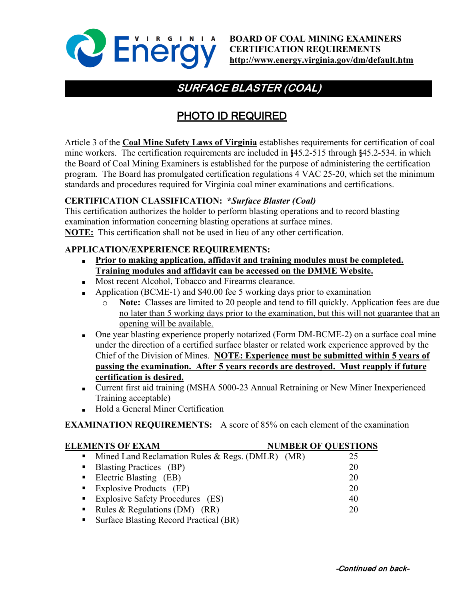

# **SURFACE BLASTER (COAL)**

# PHOTO ID REQUIRED

Article 3 of the **Coal Mine Safety Laws of Virginia** establishes requirements for certification of coal mine workers. The certification requirements are included in §45.2-515 through §45.2-534. in which the Board of Coal Mining Examiners is established for the purpose of administering the certification program. The Board has promulgated certification regulations 4 VAC 25-20, which set the minimum standards and procedures required for Virginia coal miner examinations and certifications.

## **CERTIFICATION CLASSIFICATION: \****Surface Blaster (Coal)*

This certification authorizes the holder to perform blasting operations and to record blasting examination information concerning blasting operations at surface mines. **NOTE:** This certification shall not be used in lieu of any other certification.

### **APPLICATION/EXPERIENCE REQUIREMENTS:**

- **■ Prior to making application, affidavit and training modules must be completed. Training modules and affidavit can be accessed on the DMME Website.**
- **Most recent Alcohol, Tobacco and Firearms clearance.**
- **•** Application (BCME-1) and \$40.00 fee 5 working days prior to examination
	- o **Note:** Classes are limited to 20 people and tend to fill quickly. Application fees are due no later than 5 working days prior to the examination, but this will not guarantee that an opening will be available.
- One year blasting experience properly notarized (Form DM-BCME-2) on a surface coal mine under the direction of a certified surface blaster or related work experience approved by the Chief of the Division of Mines. **NOTE: Experience must be submitted within 5 years of passing the examination. After 5 years records are destroyed. Must reapply if future certification is desired.**
- Current first aid training (MSHA 5000-23 Annual Retraining or New Miner Inexperienced Training acceptable)
- **■** Hold a General Miner Certification

**EXAMINATION REQUIREMENTS:** A score of 85% on each element of the examination

## **ELEMENTS OF EXAM NUMBER OF QUESTIONS** • Mined Land Reclamation Rules & Regs. (DMLR) (MR) 25 **Blasting Practices** (BP) 20 ■ Electric Blasting (EB) 20 **Explosive Products** (EP) 20 **Explosive Safety Procedures** (ES) 40 Rules & Regulations (DM) (RR) 20 **Surface Blasting Record Practical (BR)**

#### -Continued on back-